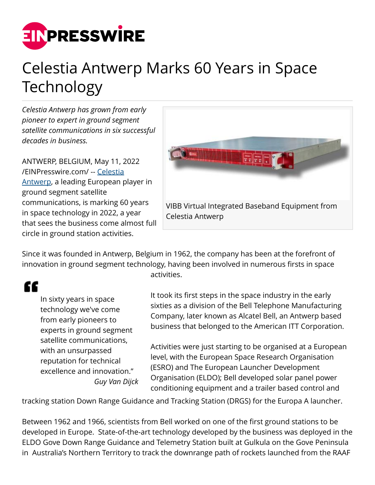

## Celestia Antwerp Marks 60 Years in Space Technology

*Celestia Antwerp has grown from early pioneer to expert in ground segment satellite communications in six successful decades in business.*

ANTWERP, BELGIUM, May 11, 2022 [/EINPresswire.com/](http://www.einpresswire.com) -- [Celestia](http://www.celestia-antwerp.be) [Antwerp](http://www.celestia-antwerp.be), a leading European player in ground segment satellite communications, is marking 60 years in space technology in 2022, a year that sees the business come almost full circle in ground station activities.



Since it was founded in Antwerp, Belgium in 1962, the company has been at the forefront of innovation in ground segment technology, having been involved in numerous firsts in space activities.

## "

In sixty years in space technology we've come from early pioneers to experts in ground segment satellite communications, with an unsurpassed reputation for technical excellence and innovation." *Guy Van Dijck*

It took its first steps in the space industry in the early sixties as a division of the Bell Telephone Manufacturing Company, later known as Alcatel Bell, an Antwerp based business that belonged to the American ITT Corporation.

Activities were just starting to be organised at a European level, with the European Space Research Organisation (ESRO) and The European Launcher Development Organisation (ELDO); Bell developed solar panel power conditioning equipment and a trailer based control and

tracking station Down Range Guidance and Tracking Station (DRGS) for the Europa A launcher.

Between 1962 and 1966, scientists from Bell worked on one of the first ground stations to be developed in Europe. State-of-the-art technology developed by the business was deployed in the ELDO Gove Down Range Guidance and Telemetry Station built at Gulkula on the Gove Peninsula in Australia's Northern Territory to track the downrange path of rockets launched from the RAAF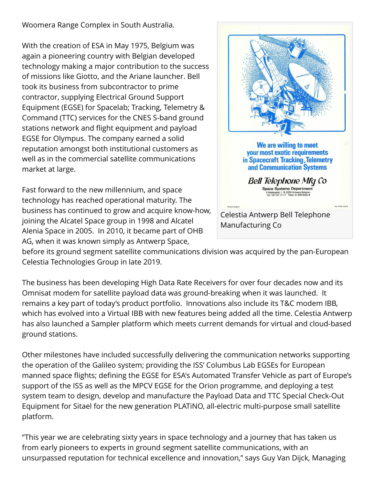Woomera Range Complex in South Australia.

With the creation of ESA in May 1975, Belgium was again a pioneering country with Belgian developed technology making a major contribution to the success of missions like Giotto, and the Ariane launcher. Bell took its business from subcontractor to prime contractor, supplying Electrical Ground Support Equipment (EGSE) for Spacelab; Tracking, Telemetry & Command (TTC) services for the CNES S-band ground stations network and flight equipment and payload EGSE for Olympus. The company earned a solid reputation amongst both institutional customers as well as in the commercial satellite communications market at large.

Fast forward to the new millennium, and space technology has reached operational maturity. The business has continued to grow and acquire know-how, joining the Alcatel Space group in 1998 and Alcatel Alenia Space in 2005. In 2010, it became part of OHB AG, when it was known simply as Antwerp Space,



before its ground segment satellite communications division was acquired by the pan-European Celestia Technologies Group in late 2019.

The business has been developing High Data Rate Receivers for over four decades now and its Omnisat modem for satellite payload data was ground-breaking when it was launched. It remains a key part of today's product portfolio. Innovations also include its T&C modem IBB, which has evolved into a Virtual IBB with new features being added all the time. Celestia Antwerp has also launched a Sampler platform which meets current demands for virtual and cloud-based ground stations.

Other milestones have included successfully delivering the communication networks supporting the operation of the Galileo system; providing the ISS' Columbus Lab EGSEs for European manned space flights; defining the EGSE for ESA's Automated Transfer Vehicle as part of Europe's support of the ISS as well as the MPCV EGSE for the Orion programme, and deploying a test system team to design, develop and manufacture the Payload Data and TTC Special Check-Out Equipment for Sitael for the new generation PLATiNO, all-electric multi-purpose small satellite platform.

"This year we are celebrating sixty years in space technology and a journey that has taken us from early pioneers to experts in ground segment satellite communications, with an unsurpassed reputation for technical excellence and innovation," says Guy Van Dijck, Managing